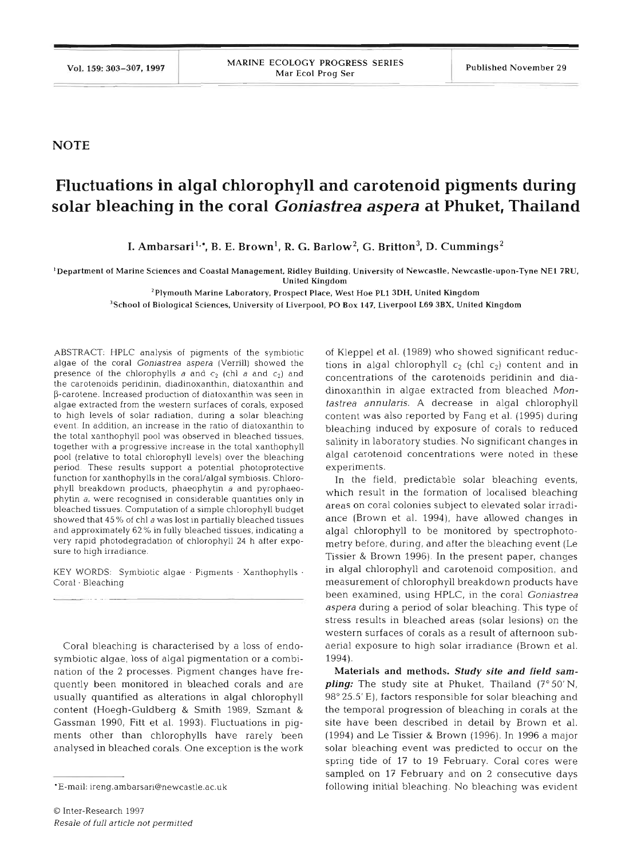**NOTE** 

## **Fluctuations in algal chlorophyll and carotenoid pigments during solar bleaching in the coral Goniastrea** *aspera* **at Phuket, Thailand**

I. Ambarsari<sup>1,\*</sup>, B. E. Brown<sup>1</sup>, R. G. Barlow<sup>2</sup>, G. Britton<sup>3</sup>, D. Cummings<sup>2</sup>

'Department of Marine Sciences and Coastal Management. Ridley Building, University of Newcastle. Newcastle-upon-Tyne NE1 ?RU, United Kingdom

 $^{2}$ Plymouth Marine Laboratory, Prospect Place, West Hoe PL1 3DH, United Kingdom

 $\rm ^3$ School of Biological Sciences, University of Liverpool, PO Box 147, Liverpool L69 3BX, United Kingdom

ABSTRACT: HPLC analysis of pigments of the symbiotic algae of the coral Goniastrea aspera (Verrill) showed the presence of the chlorophylls  $a$  and  $c_2$  (chl  $a$  and  $c_2$ ) and the carotenoids peridinin, diadinoxanthin, diatoxanthin and p-carotene. Increased production of diatoxanthin was seen In algae extracted from the western surfaces of corals, exposed to high levels of solar radiation, during a solar bleaching event. In addition, an increase in the ratio of diatoxanthin to the total xanthophyll pool was observed in bleached tissues. together with a progressive increase in the total xanthophyll pool (relative to total chlorophyll levels) over the bleaching period. These results support a potential photoprotective function for xanthophylls in the coral/algal symbiosis. Chlorophyll breakdown products, phaeophytin a and pyrophaeophytin a, were recognised in considerable quantities only in bleached tissues. computation of a simple chlorophyll budget showed that 45% of chl a was lost in partially bleached tissues and approximately 62 % in fully bleached tissues, indicating a very rapid photodegradation of chlorophyll **24** h after exposure to high irradiance.

KEY WORDS: Symbiotic algae . Pigments . Xanthophylls . Coral · Bleaching

Coral bleaching is characterised by a loss of endosymbiotic algae, loss of algal pigmentation or a combination of the 2 processes. Pigment changes have frequently been monitored in bleached corals and are usually quantified as alterations in algal chlorophyll content (Hoegh-Guldberg & Smith 1989, Szmant & Gassman 1990, Fitt et al. 1993). Fluctuations in pigments other than chlorophylls have rarely been analysed in bleached corals. One exception is the work

of Kleppel et al. (1989) who showed significant reductions in algal chlorophyll  $c_2$  (chl  $c_2$ ) content and in concentrations of the carotenoids peridinin and diadinoxanthin in algae extracted from bleached *Montastrea annularis. A* decrease in algal chlorophyll content was also reported by Fang et al. (1995) during bleaching induced by exposure of corals to reduced salinity in laboratory studies. No significant changes in algal carotenoid concentrations were noted in these experiments.

In the field, predictable solar bleaching events, which result in the formation of localised bleaching areas on coral colonies subject to elevated solar irradiance (Brown et al. 1994), have allowed changes in algal chlorophyll to be monitored by spectrophotornetry before, during, and after the bleaching event (Le Tissier & Brown 1996). In the present paper, changes in algal chlorophyll and carotenoid composition, and measurement of chlorophyll breakdown products have been examined, using HPLC, in the coral *Goniastrea aspera* during a period of solar bleaching. This type of stress results in bleached areas (solar lesions) on the western surfaces of corals as a result of afternoon subaerial exposure to high solar irradiance (Brown et al. 1994).

**Materials** *and* methods. Study *site and field sampling:* The study site at Phuket, Thailand (7°50'N, 98" 25.5' E), factors responsible for solar bleaching and the temporal progression of bleaching in corals at the site have been described in detail by Brown et al. (1994) and Le Tissier & Brown (1996). In 1996 a major solar bleaching event was predicted to occur on the spring tide of 17 to 19 February. Coral cores were sampled on 17 February and on 2 consecutive days following initial bleaching. No bleaching was evident

<sup>\*</sup>E-mail: ireng.ambarsari@newcastle.ac.uk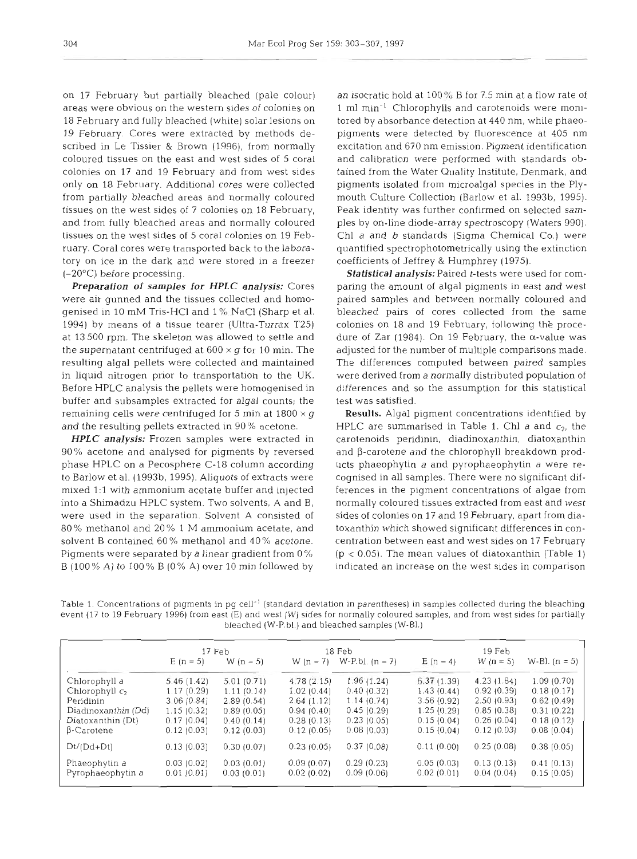on 17 February but partially bleached (pale colour) areas were obvious on the western sides of colonies on 18 February and fully bleached (white) solar lesions on 19 February. Cores were extracted by methods described in Le Tissier & Brown (1996), from normally coloured tissues on the east and west sides of 5 coral colonies on 17 and 19 February and from west sides only on 18 February. Additional cores were collected from partially bleached areas and normally coloured tissues on the west sides of 7 colonies on 18 February, and from fully bleached areas and normally coloured tissues on the west sides of 5 coral colonies on 19 February. Coral cores were transported back to the laboratory on ice in the dark and were stored in a freezer (-20°C) before processing.

*Preparation of samples for HPLC analysis:* Cores were air gunned and the tissues collected and homogenised in 10 mM Tris-HC1 and 1 %, NaCl (Sharp et al. 1994) by means of a tissue tearer (Ultra-Turrax T25) at 13 500 rpm. The skeleton was allowed to settle and the supernatant centrifuged at  $600 \times g$  for 10 min. The resulting algal pellets were collected and maintained in liquid nitrogen prior to transportation to the UK. Before HPLC analysis the pellets were homogenised in buffer and subsamples extracted for algal counts; the remaining cells were centrifuged for 5 min at  $1800 \times g$ and the resulting pellets extracted in 90% acetone.

*HPLC analysis:* Frozen samples were extracted in 90 % acetone and analysed for pigments by reversed phase HPLC on a Pecosphere C-18 column according to Barlow et al. (1993b, 1995). Aliquots of extracts were mixed 1:l with ammonium acetate buffer and injected into a Shimadzu HPLC system. Two solvents, A and B, were used in the separation. Solvent A consisted of 80% methanol and 20% 1 M ammonium acetate, and solvent B contained 60 % methanol and 40 % acetone. Pigments were separated by a linear gradient from 0 % B (100% A) to 100% B (0% A) over 10 min followed by

an isocratic hold at  $100\%$  B for 7.5 min at a flow rate of 1 m1 min-l Chlorophylls and carotenoids were monitored by absorbance detection at 440 nm, while phaeopigments were detected by fluorescence at 405 nm excitation and 670 nm emission. Pigment identification and calibration were performed with standards obtained from the Water Quality Institute, Denmark, and pigments isolated from microalgal species in the Plymouth Culture Collection (Barlow et al. 1993b, 1995). Peak identity was further confirmed on selected samples by on-line diode-array spectroscopy (Waters 990). Chl a and b standards (Sigma Chemical Co.) were quantified spectrophotometrically using the extinction coefficients of Jeffrey **81** Humphrey (1975).

*Statistical analysis:* Paired t-tests were used for comparing the amount of algal pigments in east and west paired samples and between normally coloured and bleached pairs of cores collected from the same colonies on 18 and 19 February, following the procedure of Zar (1984). On 19 February, the  $\alpha$ -value was adjusted for the number of multiple comparisons made. The differences computed between paired samples were derived from a normally distributed population of differences and so the assumption for this statistical test was satisfied.

Results. Algal pigment concentrations identified by HPLC are summarised in Table 1. Chl  $a$  and  $c_2$ , the carotenoids peridinin, diadinoxanthin, diatoxanthin and  $\beta$ -carotene and the chlorophyll breakdown products phaeophytin a and pyrophaeophytin a were recognised in all samples. There were no significant differences in the pigment concentrations of algae from normally coloured tissues extracted from east and west sides of colonies on 17 and 19 February, apart from diatoxanthin which showed significant differences in concentration between east and west sides on 17 February  $(p < 0.05)$ . The mean values of diatoxanthin (Table 1) indicated an increase on the west sides in comparison

Table 1. Concentrations of pigments in pg cell<sup>-1</sup> (standard deviation in parentheses) in samples collected during the bleaching event (17 to 19 February 1996) from east (E) and west (W) sides for normally coloured samples, and from west sides for partially bleached (W-P.bl.) and bleached samples (W-Bl.)

|                     | 17 Feb      |             |             |                   | $19$ Feb   |             |                 |
|---------------------|-------------|-------------|-------------|-------------------|------------|-------------|-----------------|
|                     |             |             | 18 Feb      |                   |            |             |                 |
|                     | $E (n = 5)$ | W $(n = 5)$ | W $(n = 7)$ | W-P.bl. $(n = 7)$ | $E(n = 4)$ | W $(n = 5)$ | W-Bl. $(n = 5)$ |
| Chlorophyll a       | 5.46(1.42)  | 5.01(0.71)  | 4.78(2.15)  | 1.96(1.24)        | 6.37(1.39) | 4.23(1.84)  | 1.09(0.70)      |
| Chlorophyll $c_2$   | 1.17(0.29)  | 1.11(0.14)  | 1.02(0.44)  | 0.40(0.32)        | 1.43(0.44) | 0.92(0.39)  | 0.18(0.17)      |
| Peridinin           | 3.06(0.84)  | 2.89(0.54)  | 2.64(1.12)  | 1.14(0.74)        | 3.56(0.92) | 2.50(0.93)  | 0.62(0.49)      |
| Diadinoxanthin (Dd) | 1.15(0.32)  | 0.89(0.05)  | 0.94(0.40)  | 0.45(0.29)        | 1.25(0.29) | 0.85(0.38)  | 0.31(0.22)      |
| Diatoxanthin (Dt)   | 0.17(0.04)  | 0.40(0.14)  | 0.28(0.13)  | 0.23(0.05)        | 0.15(0.04) | 0.26(0.04)  | 0.18(0.12)      |
| $\beta$ -Carotene   | 0.12(0.03)  | 0.12(0.03)  | 0.12(0.05)  | 0.08(0.03)        | 0.15(0.04) | 0.12(0.03)  | 0.08(0.04)      |
| $Dt/(Dd+Dt)$        | 0.13(0.03)  | 0.30(0.07)  | 0.23(0.05)  | 0.37(0.08)        | 0.11(0.00) | 0.25(0.08)  | 0.38(0.05)      |
| Phaeophytin a       | 0.03(0.02)  | 0.03(0.01)  | 0.09(0.07)  | 0.29(0.23)        | 0.05(0.03) | 0.13(0.13)  | 0.41(0.13)      |
| Pyrophaeophytin a   | 0.01(0.01)  | 0.03(0.01)  | 0.02(0.02)  | 0.09(0.06)        | 0.02(0.01) | 0.04(0.04)  | 0.15(0.05)      |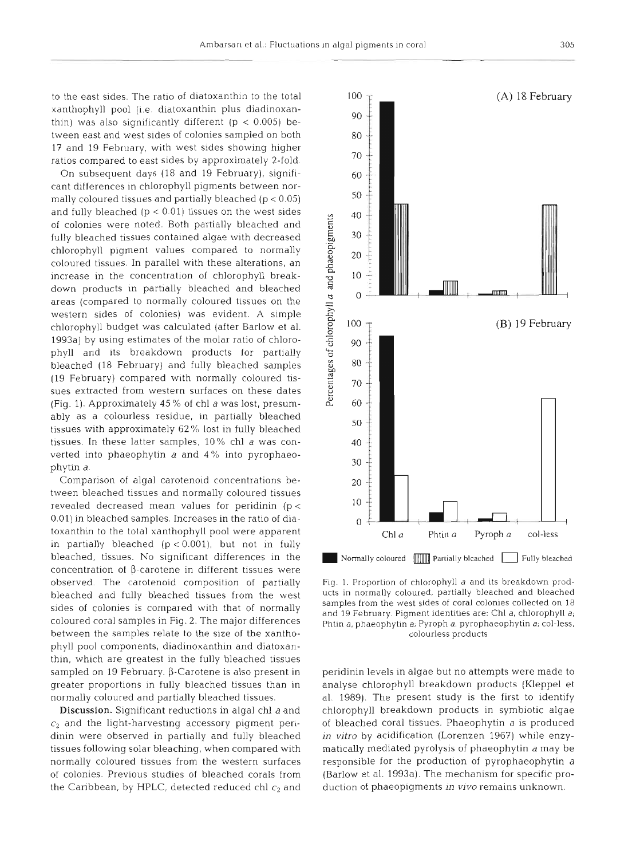to the east sides. The ratio of diatoxanthin to the total xanthophyll pool (i.e. diatoxanthin plus diadinoxanthin) was also significantly different ( $p < 0.005$ ) between east and west sides of colonies sampled on both 17 and 19 February, with west sides showing higher ratios compared to east sides by approximately 2-fold.

On subsequent days (18 and 19 February), significant differences in chlorophyll pigments between normally coloured tissues and partially bleached  $(p < 0.05)$ and fully bleached  $(p < 0.01)$  tissues on the west sides of colonies were noted. Both partially bleached and fully bleached tissues contained algae with decreased chlorophyll pigment values compared to normally coloured tissues. In parallel with these alterations, an increase in the concentration of chlorophyll breakdown products in partially bleached and bleached areas (compared to normally coloured tissues on the western sides of colonies) was evident. **A** simple chlorophyll budget was calculated (after Barlow et al. 1993a) by using estimates of the molar ratio of chlorophyll and its breakdown products for partially bleached (18 February) and fully bleached samples (19 February) compared with normally coloured tissues extracted from western surfaces on these dates (Fig. 1). Approximately 45 % of chl a was lost, presumably as a colourless residue, in partially bleached tissues with approximately 62% lost in fully bleached tissues. In these latter samples, 10% chl a was converted into phaeophytin a and 4% into pyrophaeophytin a.

Comparison of algal carotenoid concentrations between bleached tissues and normally coloured tissues revealed decreased mean values for peridinin (p <sup>&</sup>lt; 0.01) in bleached samples. Increases in the ratio of diatoxanthin to the total xanthophyll pool were apparent in partially bleached  $(p < 0.001)$ , but not in fully bleached, tissues. No significant differences in the concentration of  $\beta$ -carotene in different tissues were observed. The carotenoid composition of partially bleached and fully bleached tissues from the west sides of colonies is compared with that of normally coloured coral samples in Fig. 2. The major differences between the samples relate to the size of the xanthophyll pool components, diadinoxanthin and diatoxanthin, which are greatest in the fully bleached tissues sampled on 19 February.  $\beta$ -Carotene is also present in greater proportions in fully bleached tissues than in normally coloured and partially bleached tissues.

**Discussion.** Significant reductions in algal chl a and  $c_2$  and the light-harvesting accessory pigment peridinin were observed in partially and fully bleached tissues following solar bleaching, when compared with normally coloured tissues from the western surfaces of colonies. Previous studies of bleached corals from the Caribbean, by HPLC, detected reduced chl  $c_2$  and



Fig. 1. Proportion of chlorophyll a and its breakdown products in normally coloured, partially bleached and bleached samples from the west sides of coral colonies collected on 18 and 19 February. Pigment identities are: Chl a, chlorophyll a; Phtin a, phaeophytin a; Pyroph a, pyrophaeophytin a; col-less, colourless products

peridinin levels in algae but no attempts were made to analyse chlorophyll breakdown products (Kleppel et al. 1989). The present study is the first to identify chlorophyll breakdown products in symbiotic algae of bleached coral tissues. Phaeophytin a is produced in *vitro* by acidification (Lorenzen 1967) while enzymatically mediated pyrolysis of phaeophytin a may be responsible for the production of pyrophaeophytin a (Barlow et al. 1993a). The mechanism for specific production of phaeopigments in vivo remains unknown.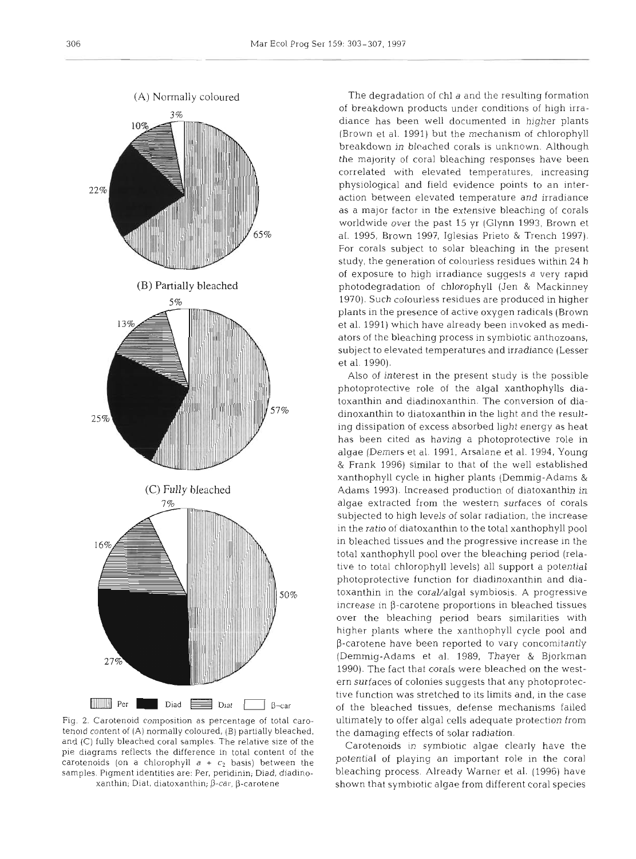

Fig. 2. Carotenoid composition as percentage of total carotenold content of **(A)** normally coloured, (B) partially bleached, and (C) fully bleached coral samples. The relative size of the pie diagrams reflects the difference in total content of the carotenoids (on a chlorophyll  $a + c_2$  basis) between the samples. Pigment identities are: Per, peridinin; Diad, diadino $x$ anthin; Diat, diatoxanthin;  $\beta$ -car,  $\beta$ -carotene

The degradation of chl a and the resulting formation of breakdown products under conditions of high irradiance has been well documented in higher plants (Brown et al. 1991) but the mechanism of chlorophyll breakdown in bleached corals is unknown. Although the majority of coral bleaching responses have been correlated with elevated temperatures, increasing physiological and field evidence points to an interaction between elevated temperature and irradiance as a major factor in the extensive bleaching of corals worldwide over the past 15 yr (Glynn 1993, Brown et al. 1995, Brown 1997, Iglesias Prieto & Trench 1997). For corals subject to solar bleaching in the present study, the generation of colourless residues within 24 h of exposure to high irradiance suggests a very rapid photodegradation of chlorophyll (Jen & Mackinney 1970). Such colourless residues are produced in higher plants in the presence of active oxygen radicals (Brown et al. 1991) which have already been invoked as mediators of the bleaching process in symbiotic anthozoans, subject to elevated temperatures and irradiance (Lesser et al. 1990).

Also of interest in the present study is the possible photoprotective role of the algal xanthophylls diatoxanthin and diadinoxanthin. The conversion of diadinoxanthin to diatoxanthin in the light and the resulting dissipation of excess absorbed light energy as heat has been cited as having a photoprotective role in algae (Demers et al. 1991, Arsalane et al. 1994, Young & Frank 1996) similar to that of the well established xanthophyll cycle in higher plants (Demmig-Adams & Adams 1993). Increased production of diatoxanthin in algae extracted from the western surfaces of corals subjected to high levels of solar radiation, the increase in the ratio of diatoxanthin to the total xanthophyll pool in bleached tissues and the progressive increase in the total xanthophyll pool over the bleaching period (relative to total chlorophyll levels) all support a potential photoprotective function for diadinoxanthin and diatoxanthin in the coral/algal symbiosis. A progressive increase in  $\beta$ -carotene proportions in bleached tissues over the bleaching period bears similarities with higher plants where the xanthophvll cycle pool and  $\beta$ -carotene have been reported to vary concomitantly (Demmig-Adams et al. 1989, Thayer & Bjorkman 1990). The fact that corals were bleached on the western surfaces of colonies suggests that any photoprotective function was stretched to its limits and, in the case of the bleached tissues, defense mechanisms failed ultimately to offer algal cells adequate protection from the damaging effects of solar radiation.

Carotenoids in symbiotic algae clearly have the potential of playing an important role in the coral bleaching process. Already Warner et al. (1996) have shown that symbiotic algae from different coral species